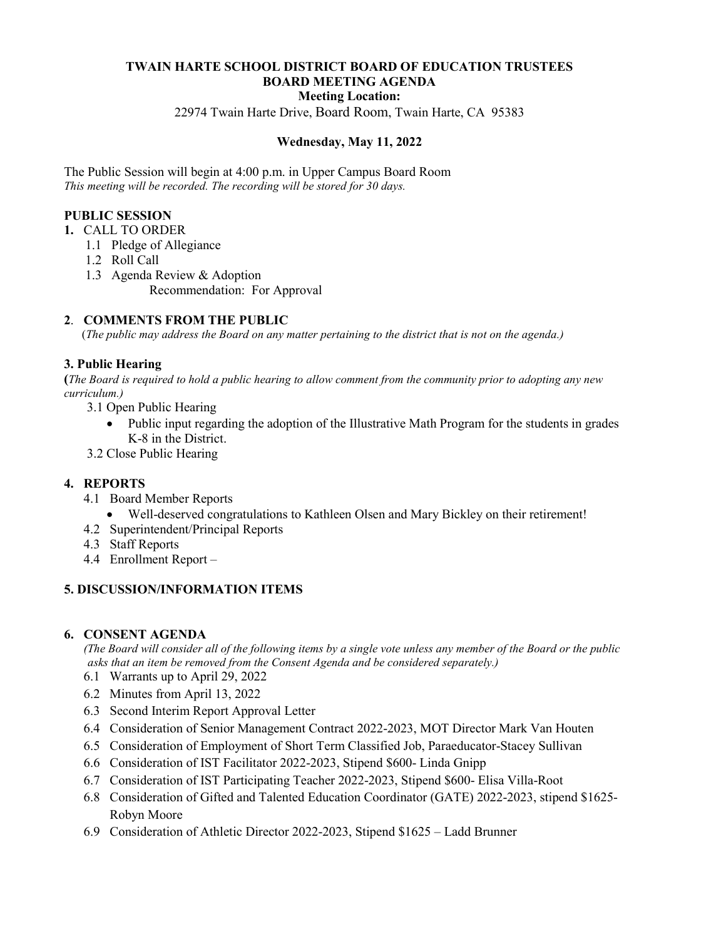## **TWAIN HARTE SCHOOL DISTRICT BOARD OF EDUCATION TRUSTEES BOARD MEETING AGENDA**

#### **Meeting Location:**

22974 Twain Harte Drive, Board Room, Twain Harte, CA 95383

#### **Wednesday, May 11, 2022**

The Public Session will begin at 4:00 p.m. in Upper Campus Board Room *This meeting will be recorded. The recording will be stored for 30 days.*

## **PUBLIC SESSION**

- **1.** CALL TO ORDER
	- 1.1 Pledge of Allegiance
	- 1.2 Roll Call
	- 1.3 Agenda Review & Adoption Recommendation: For Approval

## **2**. **COMMENTS FROM THE PUBLIC**

(*The public may address the Board on any matter pertaining to the district that is not on the agenda.)*

#### **3. Public Hearing**

**(***The Board is required to hold a public hearing to allow comment from the community prior to adopting any new curriculum.)*

3.1 Open Public Hearing

• Public input regarding the adoption of the Illustrative Math Program for the students in grades K-8 in the District.

3.2 Close Public Hearing

#### **4. REPORTS**

- 4.1 Board Member Reports
	- Well-deserved congratulations to Kathleen Olsen and Mary Bickley on their retirement!
- 4.2 Superintendent/Principal Reports
- 4.3 Staff Reports
- 4.4 Enrollment Report –

#### **5. DISCUSSION/INFORMATION ITEMS**

#### **6. CONSENT AGENDA**

 *(The Board will consider all of the following items by a single vote unless any member of the Board or the public asks that an item be removed from the Consent Agenda and be considered separately.)*

- 6.1 Warrants up to April 29, 2022
- 6.2 Minutes from April 13, 2022
- 6.3 Second Interim Report Approval Letter
- 6.4 Consideration of Senior Management Contract 2022-2023, MOT Director Mark Van Houten
- 6.5 Consideration of Employment of Short Term Classified Job, Paraeducator-Stacey Sullivan
- 6.6 Consideration of IST Facilitator 2022-2023, Stipend \$600- Linda Gnipp
- 6.7 Consideration of IST Participating Teacher 2022-2023, Stipend \$600- Elisa Villa-Root
- 6.8 Consideration of Gifted and Talented Education Coordinator (GATE) 2022-2023, stipend \$1625- Robyn Moore
- 6.9 Consideration of Athletic Director 2022-2023, Stipend \$1625 Ladd Brunner